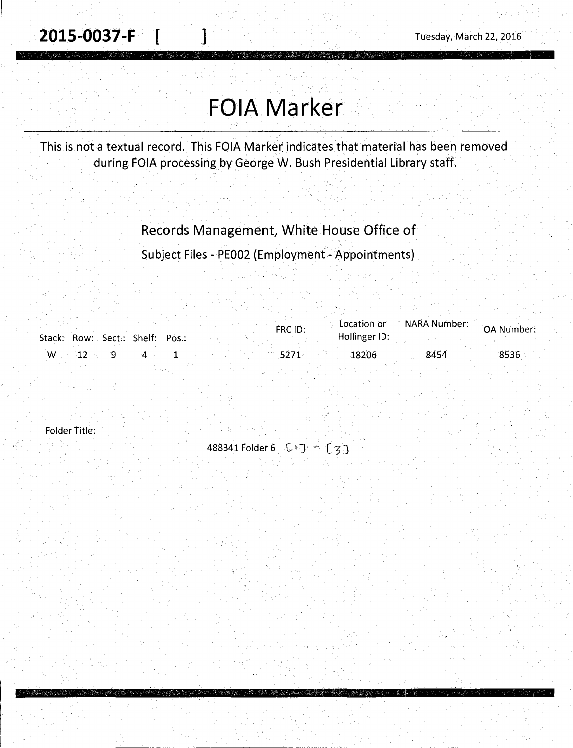# **FOIA Marker**

This is not a textual record. This FOIA Marker indicates that material has been removed during FOIA processing by George W. Bush Presidential Library staff.

#### Records Management, White House Office of·

Subject Files - PE002 (Employment- Appointments)

|  | Stack: Row: Sect.: Shelf: Pos.: |  | FRC ID: | Hollinger ID: | Location or ARRA Number: | OA Number: |
|--|---------------------------------|--|---------|---------------|--------------------------|------------|
|  |                                 |  |         | 18206         | 8454                     | 8536       |

ana aking pengunjukan pengunjukan.<br>Menumpun menjuk menjukan akan men

Folder Title:

488341 Folder 6 CIJ - (3)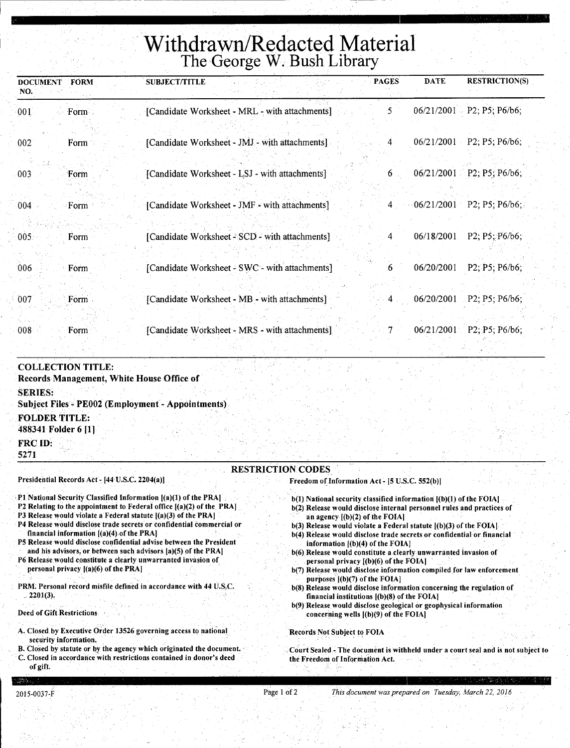## **Withdrawn/Redacted Material**  The George W. Bush Library

| <b>DOCUMENT</b><br>NO. | FORM   | <b>SUBJECT/TITLE</b>                           | <b>PAGES</b>   | <b>DATE</b> | <b>RESTRICTION(S)</b>           |
|------------------------|--------|------------------------------------------------|----------------|-------------|---------------------------------|
| 001                    | Form - | [Candidate Worksheet - MRL - with attachments] | Ć.             |             | $06/21/2001$ P2; P5; P6/b6;     |
| 002                    | Form   | [Candidate Worksheet - JMJ - with attachments] | 4              | 06/21/2001  | P2; P5; P6/b6;                  |
| $003^{\circ}$          | Form   | [Candidate Worksheet - LSJ - with attachments] | 6              |             | $06/21/2001$ P2; P5; P6/b6;     |
| 004                    | Form   | [Candidate Worksheet - JMF - with attachments] |                |             | $4 \t06/21/2001$ P2; P5; P6/b6; |
| .005                   | Form   | [Candidate Worksheet - SCD - with attachments] | 4              | 06/18/2001  | P2; P5; P6/b6;                  |
| 006                    | Form   | [Candidate Worksheet - SWC - with attachments] | 6              | 06/20/2001  | P2; P5; P6/b6;                  |
| 007                    | Form - | [Candidate Worksheet - MB - with attachments]  | 4 <sub>1</sub> | 06/20/2001  | $- P2; P5; P6/b6;$              |
| 008                    | Form   | [Candidate Worksheet - MRS - with attachments] | 7              |             | $06/21/2001$ P2; P5; P6/b6;     |

#### COLLECTION TITLE:

Records Management, White House Office of SERIES: Subject Files - PE002 (Employment - Appointments). FOLDER TITLE: 488341 Folder 6 [1 l FRC ID: 5271

RESTRICTION CODES

Presidential Records Act- [44 U.S.C. 2204(a)]

- P1 National Security Classified Information [(a)(1) of the PRA]
- P2 Relating to the appointment to Federal office  $[(a)(2)$  of the PRA]
- P3 Release would violate a Federal statute [(a)(3) of the PRA]
- P4 Release would disclose trade secrets or confidential commercial or financial information [(a)(4).of the PRA]
- P5 Release would disclose confidential advise between the President
- and his advisors, or between such advisors [a)(S) of the PRA]
- P6 Release would constitute a clearly unwarranted invasion of personal privacy  $[(a)(6)$  of the PRA]
- PRM: Personal record misfile defined in accordance with 44 U.S.C. . 2201(3).

Deed of Gift Restrictions

- A. Closed by Executive Order 13526 governing access to national security information.
- B. Closed by statute or by the agency which originated the document. C. Closed in accordance with restrictions contained in donor's deed of gift.
- Freedom of Information Act- [5 U.S.C. 552(b)]
	- b(l) National security classified information [(b)(l) of the FOIA]
	- b(2) Release would disclose internal personnel rules and practices of an agency  $[(b)(2)$  of the FOIA]
	- b(3) Release would violate a Federal statute [(b)(3) of the FOIA]
	- b(4) Release would disclose trade secrets or confidential or financial information  $[(b)(4)$  of the FOIA]
	- b(6) Release would constitute a clearly unwarranted invasion of personal privacy ((b)(6) of the FOIA]
	- b(7) Release would disclose information compiled for law enforcement purposes [(b)(7) of the FOIA]
	- b(8) Release would disclose information concerning the regulation of financial institutions  $[(b)(8)$  of the FOIA]
	- b(9) Release would disclose geological or geophysical information concerning wells  $[(b)(9)$  of the FOIA]

Records Not Subject to FOIA

Court Sealed - The document is withheld under a court seal and is not subject to the Freedom of Information Act.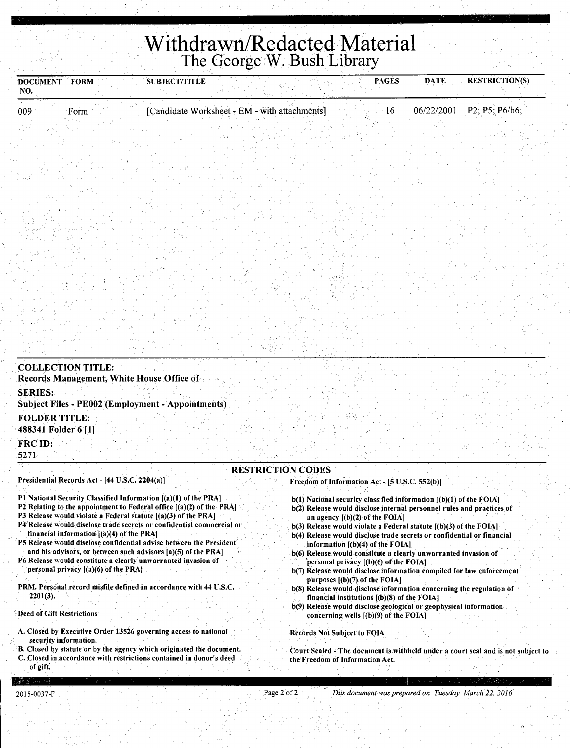## **Withdrawn/Redacted Material**  The George W. Bush Library

| <b>DOCUMENT FORM</b><br>NO.                                 | <b>SUBJECT/TITLE</b>                           | <b>PAGES</b> | <b>DATE</b> | <b>RESTRICTION(S)</b> |
|-------------------------------------------------------------|------------------------------------------------|--------------|-------------|-----------------------|
| 009<br>Form                                                 | [Candidate Worksheet - EM - with attachments]  | 16           | 06/22/2001  | P2, P5; P6/b6;        |
|                                                             |                                                |              |             |                       |
|                                                             |                                                |              |             |                       |
|                                                             |                                                |              |             |                       |
|                                                             |                                                |              |             |                       |
|                                                             |                                                |              |             |                       |
|                                                             |                                                |              |             |                       |
|                                                             |                                                |              |             |                       |
|                                                             |                                                |              |             |                       |
|                                                             |                                                |              |             |                       |
|                                                             |                                                |              |             |                       |
|                                                             |                                                |              |             |                       |
|                                                             |                                                |              |             |                       |
|                                                             |                                                |              |             |                       |
|                                                             |                                                |              |             |                       |
| <b>COLLECTION TITLE:</b>                                    |                                                |              |             |                       |
| Records Management, White House Office of<br><b>SERIES:</b> |                                                |              |             |                       |
| <b>Subject Files - PE002 (Employment - Appointments)</b>    |                                                |              |             |                       |
| <b>FOLDER TITLE:</b><br>488341 Folder 6 [1]                 |                                                |              |             |                       |
| FRC ID:<br>5271                                             |                                                |              |             |                       |
|                                                             | <b>RESTRICTION CODES</b>                       |              |             |                       |
| Presidential Records Act - [44 U.S.C. 2204(a)]              | Freedom of Information Act - [5 U.S.C. 552(b)] |              |             |                       |

- Pl National Security Classified Information [(a)(l) of the PRA]
- P2 Relating to the appointment to Federal office  $[(a)(2)$  of the PRA]
- P3 Release would violate a Federal statute [(a)(3) of the PRA]
- P4 Release would disclose trade secrets or confidential commercial or financial information  $[(a)(4)$  of the PRA]
- P5 Release would disclose confidential advise between the President and his advisors, or between such advisors [a)(S) of the PRA)
- P6 Release would constitute a clearly unwarranted invasion of personal privacy [(a)(6) of the PRA]
- PRM. Personal record misfile defined in accordance with 44 U.S.C. 2201(3).
- Deed of Gift Restrictions
- A. Closed by Executive Order 13526 governing access to national security information.
- B. Closed by statute or by the agency which originated the document.
- C. Closed in accordance with restrictions contained in donor's deed of gift:
- b(1) National security classified information  $[(b)(1)$  of the FOIA] b(2) Release would disclose internal personnel rules and practices of
- an agency [(b)(2) of the FOIA] . b(3) Release would violate a Federal statute [(b)(3) of the FOIA]
- b(4) Release would disclose trade secrets or confidential or financial information  $[(b)(4)$  of the FOIA]
- b(6) Release. would constitute a clearly unwarranted invasion of personal privacy [(b)(6) of the FOIA]
- b(7) Release would disclose information compiled for law enforcement purposes [(b)(7) of the FOIA)
- b(8) Release would disclose information concerning the regulation of · financial institutions [(b)(S) of the FOIA]
- b(9) Release would disclose geological or geophysical information concerning wells [(b)(9) of the FOIA)

#### Records Not Subject to FOIA

Court Sealed - The document is withheld under a court seal and is not subject to the Freedom of Information Act.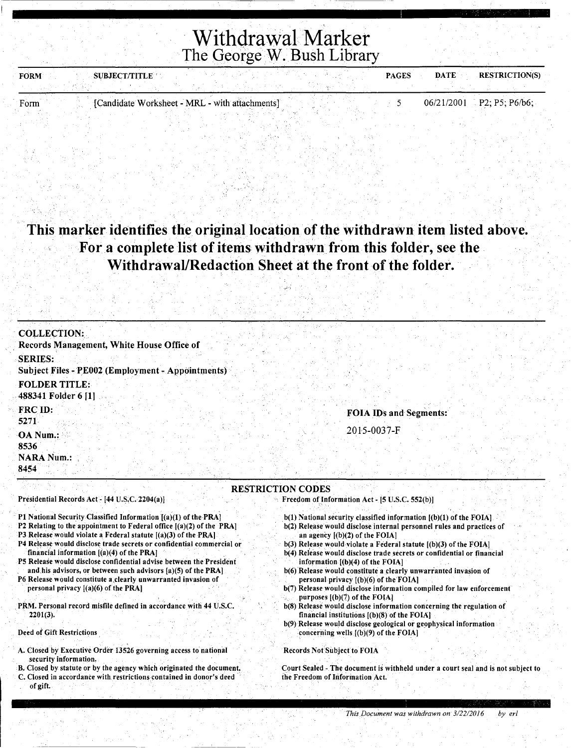| <b>SUBJECT/TITLE</b><br><b>FORM</b> |                                                | <b>PAGES</b> | <b>DATE</b><br><b>RESTRICTION(S)</b> |  |
|-------------------------------------|------------------------------------------------|--------------|--------------------------------------|--|
|                                     |                                                |              |                                      |  |
| Form                                | [Candidate Worksheet - MRL - with attachments] |              | $06/21/2001$ P2; P5; P6/b6;          |  |

#### **This marker identifies the original location of the withdrawn item listed above.**  For a complete list of items withdrawn from this folder, see the **Withdrawal/Redaction Sheet at the front of the folder.**

,.'·:·

| <b>COLLECTION:</b>                                                                                                                                                                                                                                                                                                                                                                                                                                                                                                                                                                                                                                                                                      |                                                                                                                                                                                                                                                                                                                                                                                                                                                                                                                                                                                                                                                                                                                                                                                                                                             |
|---------------------------------------------------------------------------------------------------------------------------------------------------------------------------------------------------------------------------------------------------------------------------------------------------------------------------------------------------------------------------------------------------------------------------------------------------------------------------------------------------------------------------------------------------------------------------------------------------------------------------------------------------------------------------------------------------------|---------------------------------------------------------------------------------------------------------------------------------------------------------------------------------------------------------------------------------------------------------------------------------------------------------------------------------------------------------------------------------------------------------------------------------------------------------------------------------------------------------------------------------------------------------------------------------------------------------------------------------------------------------------------------------------------------------------------------------------------------------------------------------------------------------------------------------------------|
| Records Management, White House Office of                                                                                                                                                                                                                                                                                                                                                                                                                                                                                                                                                                                                                                                               |                                                                                                                                                                                                                                                                                                                                                                                                                                                                                                                                                                                                                                                                                                                                                                                                                                             |
| <b>SERIES:</b>                                                                                                                                                                                                                                                                                                                                                                                                                                                                                                                                                                                                                                                                                          |                                                                                                                                                                                                                                                                                                                                                                                                                                                                                                                                                                                                                                                                                                                                                                                                                                             |
| <b>Subject Files - PE002 (Employment - Appointments)</b>                                                                                                                                                                                                                                                                                                                                                                                                                                                                                                                                                                                                                                                |                                                                                                                                                                                                                                                                                                                                                                                                                                                                                                                                                                                                                                                                                                                                                                                                                                             |
| <b>FOLDER TITLE:</b>                                                                                                                                                                                                                                                                                                                                                                                                                                                                                                                                                                                                                                                                                    |                                                                                                                                                                                                                                                                                                                                                                                                                                                                                                                                                                                                                                                                                                                                                                                                                                             |
| 488341 Folder 6 [1]                                                                                                                                                                                                                                                                                                                                                                                                                                                                                                                                                                                                                                                                                     |                                                                                                                                                                                                                                                                                                                                                                                                                                                                                                                                                                                                                                                                                                                                                                                                                                             |
| FRC ID:                                                                                                                                                                                                                                                                                                                                                                                                                                                                                                                                                                                                                                                                                                 | FOIA IDs and Segments:                                                                                                                                                                                                                                                                                                                                                                                                                                                                                                                                                                                                                                                                                                                                                                                                                      |
| 5271                                                                                                                                                                                                                                                                                                                                                                                                                                                                                                                                                                                                                                                                                                    |                                                                                                                                                                                                                                                                                                                                                                                                                                                                                                                                                                                                                                                                                                                                                                                                                                             |
| OA Num.:                                                                                                                                                                                                                                                                                                                                                                                                                                                                                                                                                                                                                                                                                                | 2015-0037-F                                                                                                                                                                                                                                                                                                                                                                                                                                                                                                                                                                                                                                                                                                                                                                                                                                 |
| 8536                                                                                                                                                                                                                                                                                                                                                                                                                                                                                                                                                                                                                                                                                                    |                                                                                                                                                                                                                                                                                                                                                                                                                                                                                                                                                                                                                                                                                                                                                                                                                                             |
| <b>NARA Num.:</b>                                                                                                                                                                                                                                                                                                                                                                                                                                                                                                                                                                                                                                                                                       |                                                                                                                                                                                                                                                                                                                                                                                                                                                                                                                                                                                                                                                                                                                                                                                                                                             |
| 8454                                                                                                                                                                                                                                                                                                                                                                                                                                                                                                                                                                                                                                                                                                    |                                                                                                                                                                                                                                                                                                                                                                                                                                                                                                                                                                                                                                                                                                                                                                                                                                             |
|                                                                                                                                                                                                                                                                                                                                                                                                                                                                                                                                                                                                                                                                                                         | <b>RESTRICTION CODES</b>                                                                                                                                                                                                                                                                                                                                                                                                                                                                                                                                                                                                                                                                                                                                                                                                                    |
| Presidential Records Act - [44 U.S.C. 2204(a)]                                                                                                                                                                                                                                                                                                                                                                                                                                                                                                                                                                                                                                                          | Freedom of Information Act - [5 U.S.C. 552(b)]                                                                                                                                                                                                                                                                                                                                                                                                                                                                                                                                                                                                                                                                                                                                                                                              |
| P1 National Security Classified Information [(a)(1) of the PRA]<br>P2 Relating to the appointment to Federal office $[(a)(2)$ of the PRA]<br>P3 Release would violate a Federal statute $[(a)(3)$ of the PRA]<br>P4 Release would disclose trade secrets or confidential commercial or<br>financial information [(a)(4) of the PRA]<br>P5 Release would disclose confidential advise between the President<br>and his advisors, or between such advisors [a)(5) of the PRA]<br>P6 Release would constitute a clearly unwarranted invasion of<br>personal privacy $[(a)(6)$ of the PRA]<br>PRM. Personal record misfile defined in accordance with 44 U.S.C.<br>$2201(3)$ .<br>Deed of Gift Restrictions | $b(1)$ National security classified information $[(b)(1)$ of the FOIA].<br>b(2) Release would disclose internal personnel rules and practices of<br>an agency $[(b)(2)$ of the FOIA]<br>$b(3)$ Release would violate a Federal statute $[(b)(3)$ of the FOIA]<br>b(4) Release would disclose trade secrets or confidential or financial<br>information $[(b)(4)$ of the FOIA]<br>b(6) Release would constitute a clearly unwarranted invasion of<br>personal privacy [(b)(6) of the FOIA]<br>b(7) Release would disclose information compiled for law enforcement<br>purposes $[(b)(7)$ of the FOIA<br>b(8) Release would disclose information concerning the regulation of<br>financial institutions $[(b)(8)$ of the FOIA]<br>b(9) Release would disclose geological or geophysical information<br>concerning wells $(0)(9)$ of the FOIA. |
| A. Closed by Executive Order 13526 governing access to national                                                                                                                                                                                                                                                                                                                                                                                                                                                                                                                                                                                                                                         | <b>Records Not Subject to FOIA</b>                                                                                                                                                                                                                                                                                                                                                                                                                                                                                                                                                                                                                                                                                                                                                                                                          |
| security information.<br>B. Closed by statute or by the agency which originated the document.                                                                                                                                                                                                                                                                                                                                                                                                                                                                                                                                                                                                           | Court Sealed - The document is withheld under a court seal and is not subject to                                                                                                                                                                                                                                                                                                                                                                                                                                                                                                                                                                                                                                                                                                                                                            |
| C. Closed in accordance with restrictions contained in donor's deed                                                                                                                                                                                                                                                                                                                                                                                                                                                                                                                                                                                                                                     | the Freedom of Information Act.                                                                                                                                                                                                                                                                                                                                                                                                                                                                                                                                                                                                                                                                                                                                                                                                             |
| of gift.                                                                                                                                                                                                                                                                                                                                                                                                                                                                                                                                                                                                                                                                                                |                                                                                                                                                                                                                                                                                                                                                                                                                                                                                                                                                                                                                                                                                                                                                                                                                                             |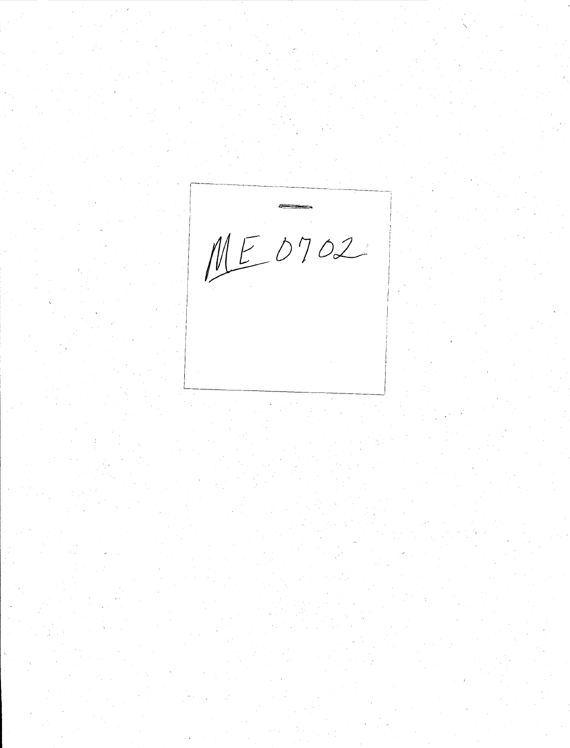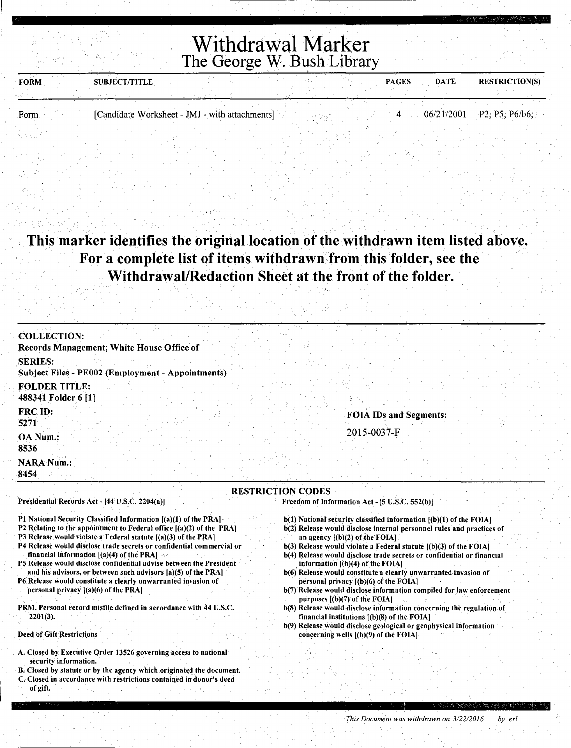| <b>FORM</b> | <b>SUBJECT/TITLE</b>                           |  |  | <b>PAGES</b> | <b>DATE</b> | <b>RESTRICTION(S)</b>       |
|-------------|------------------------------------------------|--|--|--------------|-------------|-----------------------------|
|             |                                                |  |  |              |             |                             |
|             |                                                |  |  |              |             |                             |
| Form        | [Candidate Worksheet - JMJ - with attachments] |  |  |              |             | $06/21/2001$ P2; P5; P6/b6; |
|             |                                                |  |  |              |             |                             |

#### This marker identifies the original location of the withdrawn item listed above. For a complete list of items withdrawn from this folder, see the· Withdrawal/Redaction Sheet at the front of the folder.

| <b>COLLECTION:</b>                                                                                                                      |                                                                                                                                                 |
|-----------------------------------------------------------------------------------------------------------------------------------------|-------------------------------------------------------------------------------------------------------------------------------------------------|
| Records Management, White House Office of                                                                                               |                                                                                                                                                 |
|                                                                                                                                         |                                                                                                                                                 |
| <b>SERIES:</b>                                                                                                                          |                                                                                                                                                 |
| Subject Files - PE002 (Employment - Appointments)                                                                                       |                                                                                                                                                 |
| <b>FOLDER TITLE:</b>                                                                                                                    |                                                                                                                                                 |
| 488341 Folder 6 [1]                                                                                                                     |                                                                                                                                                 |
| FRC ID:                                                                                                                                 |                                                                                                                                                 |
| 5271                                                                                                                                    | <b>FOIA IDs and Segments:</b>                                                                                                                   |
|                                                                                                                                         | 2015-0037-F                                                                                                                                     |
| OA Num.:                                                                                                                                |                                                                                                                                                 |
| 8536                                                                                                                                    |                                                                                                                                                 |
| <b>NARA Num.:</b>                                                                                                                       |                                                                                                                                                 |
| -8454                                                                                                                                   |                                                                                                                                                 |
|                                                                                                                                         | <b>RESTRICTION CODES</b>                                                                                                                        |
| Presidential Records Act - [44 U.S.C. 2204(a)]                                                                                          | Freedom of Information Act - [5 U.S.C. 552(b)]                                                                                                  |
|                                                                                                                                         |                                                                                                                                                 |
| P1 National Security Classified Information [(a)(1) of the PRA]                                                                         | $b(1)$ National security classified information $(b)(1)$ of the FOIA                                                                            |
| P2 Relating to the appointment to Federal office [(a)(2) of the PRA]                                                                    | b(2) Release would disclose internal personnel rules and practices of                                                                           |
| P3 Release would violate a Federal statute [(a)(3) of the PRA]<br>P4 Release would disclose trade secrets or confidential commercial or | an agency $[(b)(2)$ of the FOIA]                                                                                                                |
| financial information $[(a)(4)$ of the PRA]                                                                                             | $b(3)$ Release would violate a Federal statute $[(b)(3)$ of the FOIA]<br>b(4) Release would disclose trade secrets or confidential or financial |
| P5 Release would disclose confidential advise between the President                                                                     | information $[(b)(4)$ of the FOIA]                                                                                                              |
| and his advisors, or between such advisors [a)(5) of the PRA]                                                                           | b(6) Release would constitute a clearly unwarranted invasion of                                                                                 |
| P6 Release would constitute a clearly unwarranted invasion of                                                                           | personal privacy $(1)(6)$ of the FOIA.                                                                                                          |
| personal privacy $[(a)(6)$ of the PRA]                                                                                                  | b(7) Release would disclose information compiled for law enforcement<br>purposes $[(b)(7)$ of the FOIA]                                         |
| PRM. Personal record misfile defined in accordance with 44 U.S.C.                                                                       | b(8) Release would disclose information concerning the regulation of                                                                            |
| $2201(3)$ .                                                                                                                             | financial institutions $(6)(8)$ of the FOIA]                                                                                                    |
|                                                                                                                                         | b(9) Release would disclose geological or geophysical information                                                                               |
| Deed of Gift Restrictions                                                                                                               | concerning wells $[(b)(9)$ of the FOIA]                                                                                                         |
| A. Closed by Executive Order 13526 governing access to national                                                                         |                                                                                                                                                 |
| security information.                                                                                                                   |                                                                                                                                                 |
| B. Closed by statute or by the agency which originated the document.                                                                    |                                                                                                                                                 |
| C. Closed in accordance with restrictions contained in donor's deed                                                                     |                                                                                                                                                 |

of gift.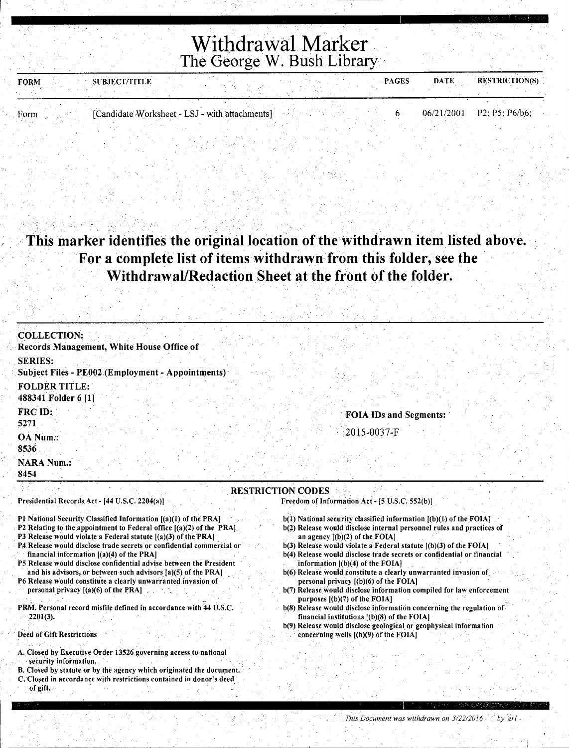| <b>SUBJECT/TITLE</b><br><b>FORM</b>                    | <b>PAGES</b> | <b>DATE</b> | <b>RESTRICTION(S)</b>       |
|--------------------------------------------------------|--------------|-------------|-----------------------------|
| [Candidate Worksheet - LSJ - with attachments]<br>Form |              |             | $06/21/2001$ P2; P5; P6/b6; |
|                                                        |              |             |                             |

#### This marker identifies the original location of the withdrawn item listed above. For a complete list of items withdrawn from this folder, see the Withdrawal/Redaction Sheet at the front of the folder.

| <b>COLLECTION:</b>                                                                                                                       |                                                                                                                                                 |
|------------------------------------------------------------------------------------------------------------------------------------------|-------------------------------------------------------------------------------------------------------------------------------------------------|
| Records Management, White House Office of                                                                                                |                                                                                                                                                 |
| <b>SERIES:</b>                                                                                                                           |                                                                                                                                                 |
| <b>Subject Files - PE002 (Employment - Appointments)</b>                                                                                 |                                                                                                                                                 |
| <b>FOLDER TITLE:</b>                                                                                                                     |                                                                                                                                                 |
| 488341 Folder 6 [1]                                                                                                                      |                                                                                                                                                 |
| FRC ID:                                                                                                                                  | <b>FOIA IDs and Segments:</b>                                                                                                                   |
| 5271                                                                                                                                     |                                                                                                                                                 |
| OA Num.:                                                                                                                                 | 2015-0037-F                                                                                                                                     |
| 8536                                                                                                                                     |                                                                                                                                                 |
| <b>NARA Num.:</b>                                                                                                                        |                                                                                                                                                 |
| 8454                                                                                                                                     |                                                                                                                                                 |
|                                                                                                                                          | <b>RESTRICTION CODES</b>                                                                                                                        |
| Presidential Records Act - [44 U.S.C. 2204(a)]                                                                                           | Freedom of Information Act - [5 U.S.C. 552(b)]                                                                                                  |
| P1 National Security Classified Information [(a)(1) of the PRA]                                                                          | $b(1)$ National security classified information $[(b)(1)$ of the FOIA $\uparrow$                                                                |
| P2 Relating to the appointment to Federal office $[(a)(2)$ of the PRAL                                                                   | b(2) Release would disclose internal personnel rules and practices of                                                                           |
| P3 Release would violate a Federal statute $[(a)(3)$ of the PRA<br>P4 Release would disclose trade secrets or confidential commercial or | an agency $[(b)(2)$ of the FOIA]                                                                                                                |
| financial information $[(a)(4)$ of the PRA]                                                                                              | $b(3)$ Release would violate a Federal statute $[(b)(3)$ of the FOIA]<br>b(4) Release would disclose trade secrets or confidential or financial |
| P5 Release would disclose confidential advise between the President                                                                      | information $[(b)(4)$ of the FOIA]                                                                                                              |
| and his advisors, or between such advisors [a)(5) of the PRA]<br>P6 Release would constitute a clearly unwarranted invasion of           | b(6) Release would constitute a clearly unwarranted invasion of<br>personal privacy $[(b)(6)$ of the FOIA]                                      |
| personal privacy $[(a)(6)$ of the PRA]                                                                                                   | b(7) Release would disclose information compiled for law enforcement                                                                            |
| PRM. Personal record misfile defined in accordance with 44 U.S.C.                                                                        | purposes [(b)(7) of the FOIA]<br>b(8) Release would disclose information concerning the regulation of                                           |

- b(8) Release would disclose information concerning the regulation of financial institutions [(b)(8) of the FOIA]
	- b(9) Release would disclose geological or geophysical information concerning wells [(b)(9) of the FOIA]
- A. Closed by Executive Order 13526 governing access to national security information. B. Closed by statute or by the agency which originated the document.
- C. Closed in accordance with restrictions contained in donor's deed
- of gift.

Deed of Gift Restrictions

2201(3).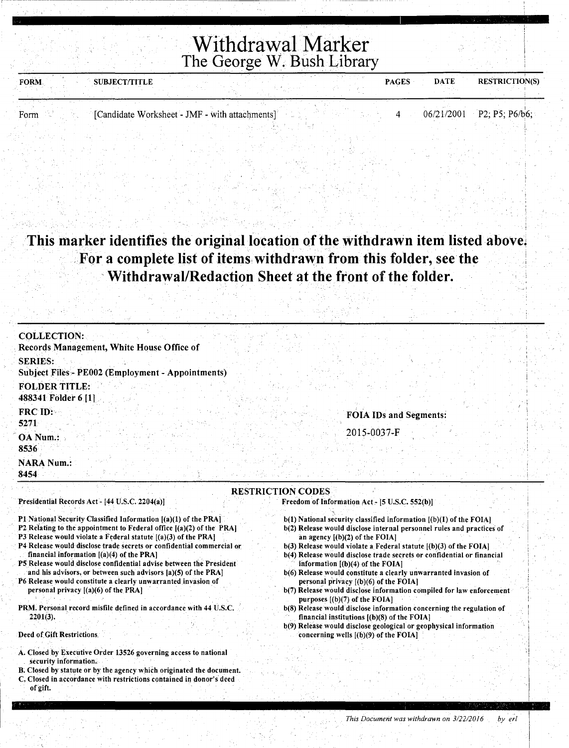| <b>FORM</b> | <b>SUBJECT/TITLE</b>                           | <b>PAGES</b> | <b>DATE</b> | <b>RESTRICTION(S)</b>       |
|-------------|------------------------------------------------|--------------|-------------|-----------------------------|
|             |                                                |              |             |                             |
|             |                                                |              |             |                             |
| Form        | [Candidate Worksheet - JMF - with attachments] |              |             | $06/21/2001$ P2; P5; P6/b6; |
|             |                                                |              |             |                             |
|             |                                                |              |             |                             |
|             |                                                |              |             |                             |

This marker identifies the original location of the withdrawn item listed above. . For a complete list of items, withdrawn from this folder, see the · Withdrawal/Redaction Sheet at the front of the folder.

| <b>COLLECTION:</b><br>Records Management, White House Office of                                                                                                                                                                                                                                                                                                                                                                                                                                                                                                                                                                                                                                       |                                                                                                                                                                                                                                                                                                                                                                                                                                                                                                                                                                                                                                                                                                                                                                                                                                      |
|-------------------------------------------------------------------------------------------------------------------------------------------------------------------------------------------------------------------------------------------------------------------------------------------------------------------------------------------------------------------------------------------------------------------------------------------------------------------------------------------------------------------------------------------------------------------------------------------------------------------------------------------------------------------------------------------------------|--------------------------------------------------------------------------------------------------------------------------------------------------------------------------------------------------------------------------------------------------------------------------------------------------------------------------------------------------------------------------------------------------------------------------------------------------------------------------------------------------------------------------------------------------------------------------------------------------------------------------------------------------------------------------------------------------------------------------------------------------------------------------------------------------------------------------------------|
| <b>SERIES:</b>                                                                                                                                                                                                                                                                                                                                                                                                                                                                                                                                                                                                                                                                                        |                                                                                                                                                                                                                                                                                                                                                                                                                                                                                                                                                                                                                                                                                                                                                                                                                                      |
| Subject Files - PE002 (Employment - Appointments)                                                                                                                                                                                                                                                                                                                                                                                                                                                                                                                                                                                                                                                     |                                                                                                                                                                                                                                                                                                                                                                                                                                                                                                                                                                                                                                                                                                                                                                                                                                      |
| <b>FOLDER TITLE:</b><br>488341 Folder 6 [1]                                                                                                                                                                                                                                                                                                                                                                                                                                                                                                                                                                                                                                                           |                                                                                                                                                                                                                                                                                                                                                                                                                                                                                                                                                                                                                                                                                                                                                                                                                                      |
| FRC ID:<br>5271                                                                                                                                                                                                                                                                                                                                                                                                                                                                                                                                                                                                                                                                                       | <b>FOIA IDs and Segments:</b>                                                                                                                                                                                                                                                                                                                                                                                                                                                                                                                                                                                                                                                                                                                                                                                                        |
| OA Num.:<br>8536                                                                                                                                                                                                                                                                                                                                                                                                                                                                                                                                                                                                                                                                                      | 2015-0037-F                                                                                                                                                                                                                                                                                                                                                                                                                                                                                                                                                                                                                                                                                                                                                                                                                          |
| <b>NARA Num.:</b><br>8454                                                                                                                                                                                                                                                                                                                                                                                                                                                                                                                                                                                                                                                                             |                                                                                                                                                                                                                                                                                                                                                                                                                                                                                                                                                                                                                                                                                                                                                                                                                                      |
| Presidential Records Act - [44 U.S.C. 2204(a)]                                                                                                                                                                                                                                                                                                                                                                                                                                                                                                                                                                                                                                                        | <b>RESTRICTION CODES</b><br>Freedom of Information Act - [5 U.S.C. 552(b)]                                                                                                                                                                                                                                                                                                                                                                                                                                                                                                                                                                                                                                                                                                                                                           |
| P1 National Security Classified Information [(a)(1) of the PRA]<br>P2 Relating to the appointment to Federal office $[(a)(2)$ of the PRA<br>P3 Release would violate a Federal statute [(a)(3) of the PRA]<br>P4 Release would disclose trade secrets or confidential commercial or<br>financial information $[(a)(4)$ of the PRA]<br>P5 Release would disclose confidential advise between the President<br>and his advisors, or between such advisors [a)(5) of the PRA]<br>P6 Release would constitute a clearly unwarranted invasion of<br>personal privacy $[(a)(6)$ of the PRA<br>PRM. Personal record misfile defined in accordance with 44 U.S.C.<br>$2201(3)$ .<br>Deed of Gift Restrictions | $b(1)$ National security classified information $[(b)(I)$ of the FOIA]<br>b(2) Release would disclose internal personnel rules and practices of<br>an agency $[(b)(2)$ of the FOIA]<br>b(3) Release would violate a Federal statute [(b)(3) of the FOIA]<br>b(4) Release would disclose trade secrets or confidential or financial<br>information [(b)(4) of the FOIA]<br>b(6) Release would constitute a clearly unwarranted invasion of<br>personal privacy [(b)(6) of the FOIA]<br>b(7) Release would disclose information compiled for law enforcement<br>purposes $[(b)(7)$ of the FOIA]<br>b(8) Release would disclose information concerning the regulation of<br>financial institutions $(6)(8)$ of the FOIA]<br>b(9) Release would disclose geological or geophysical information<br>concerning wells $(6)(9)$ of the FOIA] |
| A. Closed by Executive Order 13526 governing access to national<br>security information.<br>B. Closed by statute or by the agency which originated the document.<br>C. Closed in accordance with restrictions contained in donor's deed<br>of gift.                                                                                                                                                                                                                                                                                                                                                                                                                                                   |                                                                                                                                                                                                                                                                                                                                                                                                                                                                                                                                                                                                                                                                                                                                                                                                                                      |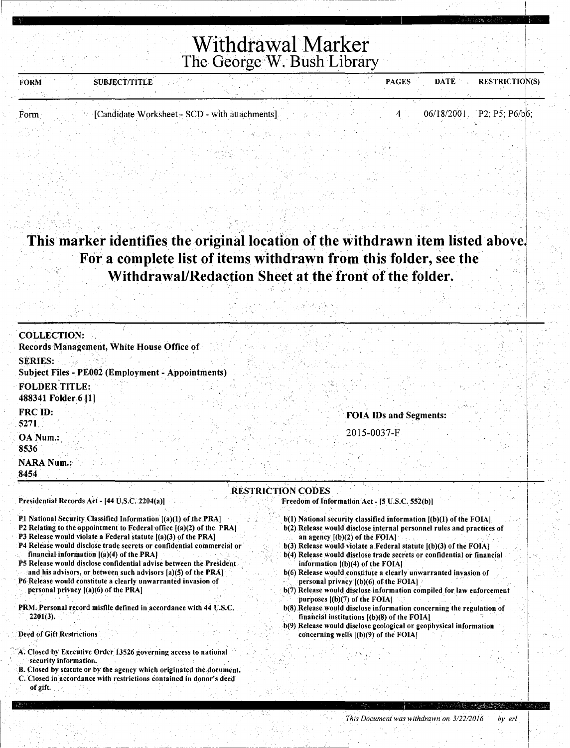| <b>FORM</b> | <b>SUBJECT/TITLE</b> |                                                |  | <b>PAGES</b> | <b>DATE</b> | <b>RESTRICTION(S)</b>       |
|-------------|----------------------|------------------------------------------------|--|--------------|-------------|-----------------------------|
|             |                      |                                                |  |              |             |                             |
|             |                      |                                                |  |              |             |                             |
| Form        |                      | [Candidate Worksheet - SCD - with attachments] |  |              |             | $06/18/2001$ P2: P5: P6/b6: |
|             |                      |                                                |  |              |             |                             |

#### This marker identifies the original location of the withdrawn item listed above. For a complete list of items withdrawn from this folder, see the  $\mathcal{S}$ Withdrawal/Redaction Sheet at the front of the folder.

을 바꿨었다. 이 시간 그는 그 사람들이 그만 아름다운데 이 사람이 되는 것이라고 있어 거나 나라를

| <b>COLLECTION:</b><br>Records Management, White House Office of<br><b>SERIES:</b><br><b>Subject Files - PE002 (Employment - Appointments)</b>                                                                                                                                                                                                                                                                                                                                                                                                                                                                                                                                                             |                                                                                                                                                                                                                                                                                                                                                                                                                                                                                                                                                                                                                                                                                                                                                                                                                                     |
|-----------------------------------------------------------------------------------------------------------------------------------------------------------------------------------------------------------------------------------------------------------------------------------------------------------------------------------------------------------------------------------------------------------------------------------------------------------------------------------------------------------------------------------------------------------------------------------------------------------------------------------------------------------------------------------------------------------|-------------------------------------------------------------------------------------------------------------------------------------------------------------------------------------------------------------------------------------------------------------------------------------------------------------------------------------------------------------------------------------------------------------------------------------------------------------------------------------------------------------------------------------------------------------------------------------------------------------------------------------------------------------------------------------------------------------------------------------------------------------------------------------------------------------------------------------|
| <b>FOLDER TITLE:</b><br>488341 Folder 6 [1]                                                                                                                                                                                                                                                                                                                                                                                                                                                                                                                                                                                                                                                               |                                                                                                                                                                                                                                                                                                                                                                                                                                                                                                                                                                                                                                                                                                                                                                                                                                     |
| <b>FRC ID:</b><br>5271<br>OA Num.:                                                                                                                                                                                                                                                                                                                                                                                                                                                                                                                                                                                                                                                                        | <b>FOIA IDs and Segments:</b><br>2015-0037-F                                                                                                                                                                                                                                                                                                                                                                                                                                                                                                                                                                                                                                                                                                                                                                                        |
| 8536<br><b>NARA Num.:</b><br>8454                                                                                                                                                                                                                                                                                                                                                                                                                                                                                                                                                                                                                                                                         |                                                                                                                                                                                                                                                                                                                                                                                                                                                                                                                                                                                                                                                                                                                                                                                                                                     |
| Presidential Records Act - [44 U.S.C. 2204(a)]                                                                                                                                                                                                                                                                                                                                                                                                                                                                                                                                                                                                                                                            | <b>RESTRICTION CODES</b><br>Freedom of Information Act - [5 U.S.C. 552(b)]                                                                                                                                                                                                                                                                                                                                                                                                                                                                                                                                                                                                                                                                                                                                                          |
| P1 National Security Classified Information [(a)(1) of the PRA]<br>P2 Relating to the appointment to Federal office $(a)(2)$ of the PRA<br>P3 Release would violate a Federal statute [(a)(3) of the PRA]<br>P4 Release would disclose trade secrets or confidential commercial or<br>financial information $ (a)(4)$ of the PRA<br>P5 Release would disclose confidential advise between the President<br>and his advisors, or between such advisors [a)(5) of the PRA]<br>P6 Release would constitute a clearly unwarranted invasion of<br>personal privacy [(a)(6) of the PRA]<br>PRM. Personal record misfile defined in accordance with 44 U.S.C.<br>$2201(3)$ .<br><b>Deed of Gift Restrictions</b> | b(1) National security classified information [(b)(1) of the FOIA]<br>b(2) Release would disclose internal personnel rules and practices of<br>an agency $[(b)(2)$ of the FOIA]<br>$b(3)$ Release would violate a Federal statute $(6)(3)$ of the FOIA<br>b(4) Release would disclose trade secrets or confidential or financial<br>information $[(b)(4)$ of the FOIA.<br>b(6) Release would constitute a clearly unwarranted invasion of<br>personal privacy [(b)(6) of the FOIA]<br>b(7) Release would disclose information compiled for law enforcement<br>purposes $[(b)(7)$ of the FOIA.<br>b(8) Release would disclose information concerning the regulation of<br>financial institutions $(6)(8)$ of the FOIA]<br>b(9) Release would disclose geological or geophysical information<br>concerning wells [(b)(9) of the FOIA] |
| A. Closed by Executive Order 13526 governing access to national<br>security information.<br>B. Closed by statute or by the agency which originated the document.<br>C. Closed in accordance with restrictions contained in donor's deed<br>of gift.                                                                                                                                                                                                                                                                                                                                                                                                                                                       |                                                                                                                                                                                                                                                                                                                                                                                                                                                                                                                                                                                                                                                                                                                                                                                                                                     |

 $\pm\frac{1}{2}\left[\frac{1}{2}\left(\frac{1}{2}\right)\left(\frac{1}{2}\right)-\frac{1}{2}\left(\frac{1}{2}\right)\left(\frac{1}{2}\right)-\frac{1}{2}\left(\frac{1}{2}\right)\left(\frac{1}{2}\right)-\frac{1}{2}\left(\frac{1}{2}\right)\left(\frac{1}{2}\right)-\frac{1}{2}\left(\frac{1}{2}\right)\left(\frac{1}{2}\right)-\frac{1}{2}\left(\frac{1}{2}\right)\left(\frac{1}{2}\right)-\frac{1}{2}\left(\frac{1}{2}\right)\left(\frac{1}{2}\right)-\frac{1}{2}\left(\frac{1}{2}\right)\left(\frac{$ 

I I

 $\mid$ I I

I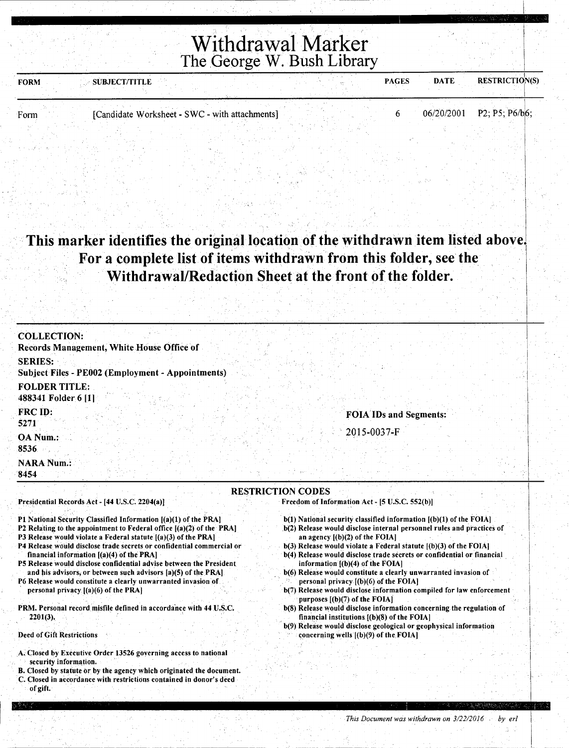| <b>FORM</b> | <b>SUBJECT/TITLE</b> |                                                | <b>PAGES</b> | <b>DATE</b> | <b>RESTRICTION(S)</b>       |
|-------------|----------------------|------------------------------------------------|--------------|-------------|-----------------------------|
|             |                      |                                                |              |             |                             |
| Form        |                      | [Candidate Worksheet - SWC - with attachments] |              |             | $06/20/2001$ P2; P5; P6/b6; |
|             |                      |                                                |              |             |                             |

This marker identifies the original location of the withdrawn item listed above. For a complete list of items withdrawn from this folder, see the Withdrawal/Redaction Sheet at the front of the folder.

| <b>COLLECTION:</b><br>Records Management, White House Office of                                                                                                                                                                                                                                                                                                                                                                                                                                                                                 |                                                                                                                                                                                                                                                                                                                                                                                                                                                                                       |
|-------------------------------------------------------------------------------------------------------------------------------------------------------------------------------------------------------------------------------------------------------------------------------------------------------------------------------------------------------------------------------------------------------------------------------------------------------------------------------------------------------------------------------------------------|---------------------------------------------------------------------------------------------------------------------------------------------------------------------------------------------------------------------------------------------------------------------------------------------------------------------------------------------------------------------------------------------------------------------------------------------------------------------------------------|
| <b>SERIES:</b><br>Subject Files - PE002 (Employment - Appointments)                                                                                                                                                                                                                                                                                                                                                                                                                                                                             |                                                                                                                                                                                                                                                                                                                                                                                                                                                                                       |
| <b>FOLDER TITLE:</b><br>488341 Folder 6 [1]                                                                                                                                                                                                                                                                                                                                                                                                                                                                                                     |                                                                                                                                                                                                                                                                                                                                                                                                                                                                                       |
| FRC ID:<br>5271                                                                                                                                                                                                                                                                                                                                                                                                                                                                                                                                 | <b>FOIA IDs and Segments:</b>                                                                                                                                                                                                                                                                                                                                                                                                                                                         |
| <b>OA</b> Num.:<br>8536                                                                                                                                                                                                                                                                                                                                                                                                                                                                                                                         | 2015-0037-F                                                                                                                                                                                                                                                                                                                                                                                                                                                                           |
| <b>NARA Num.:</b><br>8454                                                                                                                                                                                                                                                                                                                                                                                                                                                                                                                       |                                                                                                                                                                                                                                                                                                                                                                                                                                                                                       |
| P1 National Security Classified Information [(a)(1) of the PRA]<br>P2 Relating to the appointment to Federal office $[(a)(2)$ of the PRA]<br>P3 Release would violate a Federal statute $[(a)(3)$ of the PRA $]$<br>P4 Release would disclose trade secrets or confidential commercial or<br>financial information [(a)(4) of the PRA]<br>P5 Release would disclose confidential advise between the President<br>and his advisors, or between such advisors [a](5) of the PRA]<br>P6 Release would constitute a clearly unwarranted invasion of | $b(1)$ National security classified information $[(b)(1)$ of the FOIA]<br>b(2) Release would disclose internal personnel rules and practices of<br>an agency $[(b)(2)$ of the FOIA]<br>b(3) Release would violate a Federal statute ((b)(3) of the FOIA]<br>b(4) Release would disclose trade secrets or confidential or financial<br>information $[(b)(4)$ of the FOIA]<br>b(6) Release would constitute a clearly unwarranted invasion of<br>personal privacy $(1)(6)$ of the FOIA. |
| personal privacy $[(a)(6)$ of the PRA]<br>PRM. Personal record misfile defined in accordance with 44 U.S.C.<br>$2201(3)$ .                                                                                                                                                                                                                                                                                                                                                                                                                      | b(7) Release would disclose information compiled for law enforcement<br>purposes $[(b)(7)$ of the FOIA]<br>b(8) Release would disclose information concerning the regulation of<br>financial institutions [(b)(8) of the FOIA]                                                                                                                                                                                                                                                        |
|                                                                                                                                                                                                                                                                                                                                                                                                                                                                                                                                                 | b(9) Release would disclose geological or geophysical information                                                                                                                                                                                                                                                                                                                                                                                                                     |
| <b>Deed of Gift Restrictions</b><br>A. Closed by Executive Order 13526 governing access to national                                                                                                                                                                                                                                                                                                                                                                                                                                             | concerning wells [(b)(9) of the FOIA]                                                                                                                                                                                                                                                                                                                                                                                                                                                 |

I

I

 $\vert$ 

I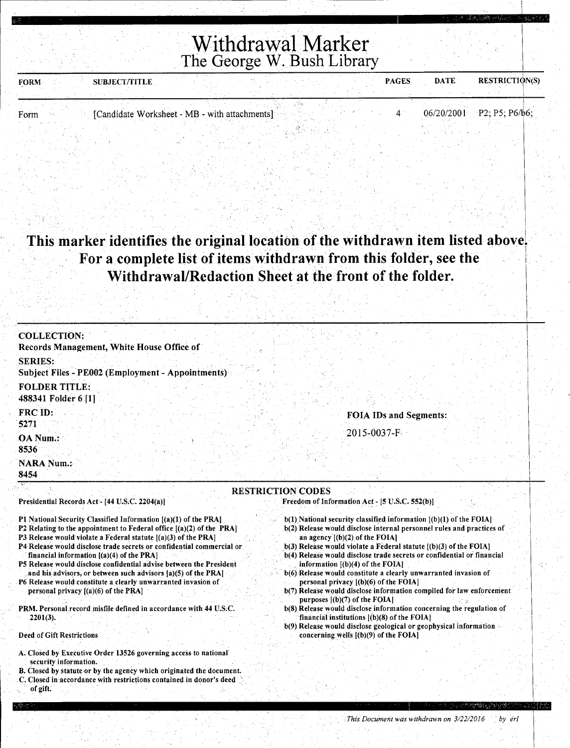| <b>FORM</b> | <b>SUBJECT/TITLE</b>                          |  | <b>DATE</b><br><b>PAGES</b> | <b>RESTRICTION(S)</b>       |
|-------------|-----------------------------------------------|--|-----------------------------|-----------------------------|
|             |                                               |  |                             |                             |
|             |                                               |  |                             |                             |
| Form        | [Candidate Worksheet - MB - with attachments] |  |                             | $06/20/2001$ P2; P5; P6/b6; |
|             |                                               |  |                             |                             |

 $\left| \begin{array}{c} \cdot \\ \cdot \end{array} \right|$ 

 $\vert$  .

I I

*This Document was withdrawn on 3/22/2016 by erl* 

#### This marker identifies the original location of the withdrawn item listed above. For a complete list of items withdrawn from this folder, see the **Withdrawal/Redaction Sheet at the front of the folder.** \

I . . . . .. . . I

| Records Management, White House Office of<br><b>SERIES:</b><br><b>Subject Files - PE002 (Employment - Appointments)</b><br><b>FOLDER TITLE:</b><br>488341 Folder 6 [1]<br>FRC ID:<br><b>FOIA IDs and Segments:</b><br>5271<br>2015-0037-F                                                                                                                                    |  |
|------------------------------------------------------------------------------------------------------------------------------------------------------------------------------------------------------------------------------------------------------------------------------------------------------------------------------------------------------------------------------|--|
|                                                                                                                                                                                                                                                                                                                                                                              |  |
|                                                                                                                                                                                                                                                                                                                                                                              |  |
|                                                                                                                                                                                                                                                                                                                                                                              |  |
|                                                                                                                                                                                                                                                                                                                                                                              |  |
| OA Num.:<br>8536                                                                                                                                                                                                                                                                                                                                                             |  |
| <b>NARA Num.:</b><br>8454                                                                                                                                                                                                                                                                                                                                                    |  |
| <b>RESTRICTION CODES</b><br>Presidential Records Act - [44 U.S.C. 2204(a)]<br>Freedom of Information Act - [5 U.S.C. 552(b)]                                                                                                                                                                                                                                                 |  |
| $b(1)$ National security classified information $[(b)(1)$ of the FOIA]<br>P1 National Security Classified Information [(a)(1) of the PRA]<br>b(2) Release would disclose internal personnel rules and practices of<br>P2 Relating to the appointment to Federal office $[(a)(2)$ of the PRA]                                                                                 |  |
| P3 Release would violate a Federal statute [(a)(3) of the PRA]<br>an agency $[(b)(2)$ of the FOIA]<br>P4 Release would disclose trade secrets or confidential commercial or<br>$b(3)$ Release would violate a Federal statute $(6)(3)$ of the FOIA]<br>financial information $[(a)(4)$ of the PRA]<br>b(4) Release would disclose trade secrets or confidential or financial |  |
| P5 Release would disclose confidential advise between the President<br>information $[(b)(4)$ of the FOIA.<br>b(6) Release would constitute a clearly unwarranted invasion of<br>and his advisors, or between such advisors $(a)(5)$ of the PRA                                                                                                                               |  |
| P6 Release would constitute a clearly unwarranted invasion of<br>personal privacy $[(b)(6)$ of the FOIA]<br>b(7) Release would disclose information compiled for law enforcement<br>personal privacy $[(a)(6)$ of the PRA]<br>purposes $[(b)(7)$ of the FOIA]                                                                                                                |  |
| PRM. Personal record misfile defined in accordance with 44 U.S.C.<br>b(8) Release would disclose information concerning the regulation of<br>financial institutions [(b)(8) of the FOIA]<br>$2201(3)$ .                                                                                                                                                                      |  |
| $b(9)$ Release would disclose geological or geophysical information<br>Deed of Gift Restrictions<br>concerning wells $(6)(9)$ of the FOIA                                                                                                                                                                                                                                    |  |
| A. Closed by Executive Order 13526 governing access to national<br>security information.<br>B. Closed by statute or by the agency which originated the document.                                                                                                                                                                                                             |  |

C. Closed in accordance with restrictions contained in donor's deed

of gift.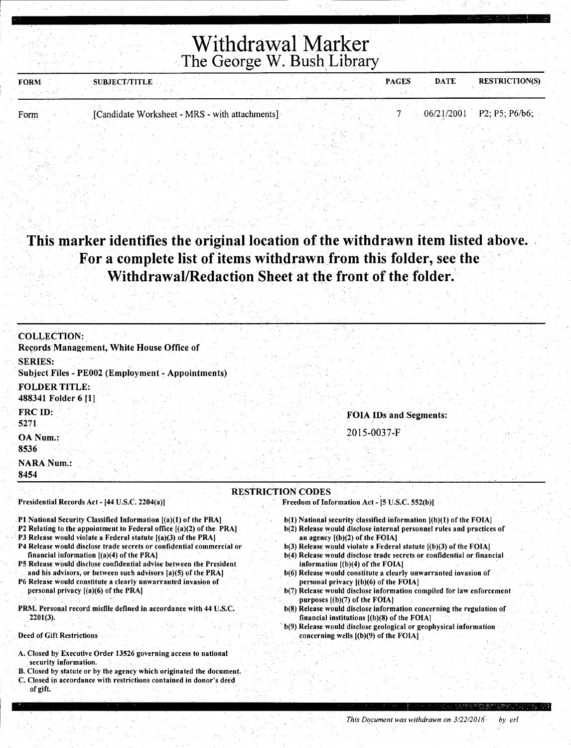| <b>FORM</b> | SUBJECT/TITLE                                  |  |  | <b>PAGES</b> | <b>DATE</b> | <b>RESTRICTION(S)</b>       |
|-------------|------------------------------------------------|--|--|--------------|-------------|-----------------------------|
|             |                                                |  |  |              |             |                             |
| Form        | [Candidate Worksheet - MRS - with attachments] |  |  |              |             | $06/21/2001$ P2; P5; P6/b6; |
|             |                                                |  |  |              |             |                             |

#### This marker identifies the original location of the withdrawn item listed above. For a complete list of items withdrawn from this folder, see the Withdrawal/Redaction Sheet at the front of the folder.

| <b>COLLECTION:</b>                                                                                                                        |                                                                                                            |
|-------------------------------------------------------------------------------------------------------------------------------------------|------------------------------------------------------------------------------------------------------------|
| Records Management, White House Office of                                                                                                 |                                                                                                            |
| <b>SERIES:</b>                                                                                                                            |                                                                                                            |
| <b>Subject Files - PE002 (Employment - Appointments)</b>                                                                                  |                                                                                                            |
| <b>FOLDER TITLE:</b>                                                                                                                      |                                                                                                            |
| 488341 Folder 6 [1]                                                                                                                       |                                                                                                            |
| FRC ID:                                                                                                                                   | <b>FOIA IDs and Segments:</b>                                                                              |
| 5271                                                                                                                                      |                                                                                                            |
| OA Num.:                                                                                                                                  | 2015-0037-F                                                                                                |
| 8536                                                                                                                                      |                                                                                                            |
| <b>NARA Num.:</b>                                                                                                                         |                                                                                                            |
| 8454                                                                                                                                      |                                                                                                            |
|                                                                                                                                           | <b>RESTRICTION CODES</b>                                                                                   |
| Presidential Records Act - [44 U.S.C. 2204(a)]                                                                                            | Freedom of Information Act - [5 U.S.C. 552(b)]                                                             |
| P1 National Security Classified Information [(a)(1) of the PRA]                                                                           | $b(1)$ National security classified information $(a)(b)(1)$ of the FOIA.                                   |
| P2 Relating to the appointment to Federal office [(a)(2) of the PRA]                                                                      | b(2) Release would disclose internal personnel rules and practices of                                      |
| P3 Release would violate a Federal statute $[(a)(3)$ of the PRA]<br>P4 Release would disclose trade secrets or confidential commercial or | an agency $[(b)(2)$ of the FOIA]<br>$b(3)$ Release would violate a Federal statute $(6)(3)$ of the FOIA    |
| financial information $[(a)(4)$ of the PRA]                                                                                               | b(4) Release would disclose trade secrets or confidential or financial                                     |
| P5 Release would disclose confidential advise between the President                                                                       | information $[(b)(4)$ of the FOIA]                                                                         |
| and his advisors, or between such advisors (a)(5) of the PRA]<br>P6 Release would constitute a clearly unwarranted invasion of            | b(6) Release would constitute a clearly unwarranted invasion of<br>personal privacy $[(b)(6)$ of the FOIA] |
| personal privacy $[(a)(6)$ of the PRA]                                                                                                    | b(7) Release would disclose information compiled for law enforcement                                       |
|                                                                                                                                           | purposes $[(b)(7)$ of the FOIA]                                                                            |
| PRM. Personal record misfile defined in accordance with 44 U.S.C.                                                                         | b(8) Release would disclose information concerning the regulation of                                       |

- b(8) Release would disclose information concerning the regulation of financial institutions [(b)(S) of the FOIAJ
	- b(9) Release would disclose geological or geophysical information concerning wells [(b)(9) of the FOIA]
- A. Closed by Executive Order 13526 governing access to national

2201(3).

Deed of Gift Restrictions

- security information. B. Closed by statute or by the agency which originated the document.
- C. Closed in accordance with restrictions contained in donor's deed of gift.